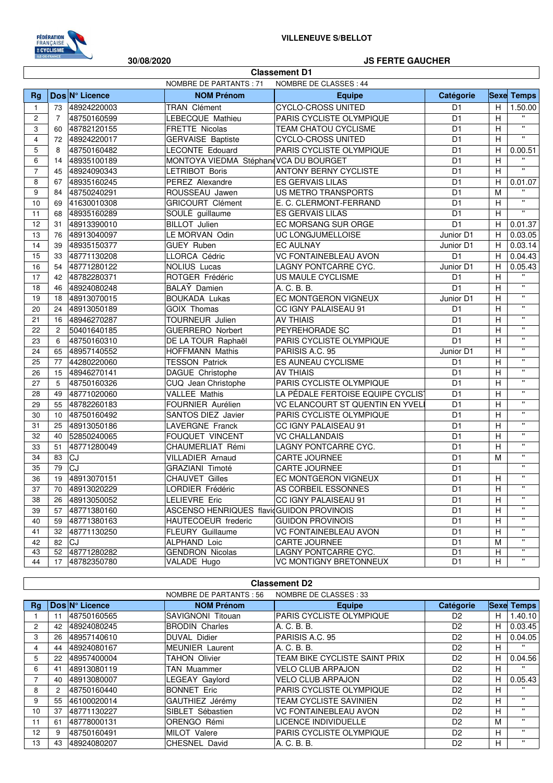

Г

30/08/2020

#### **JS FERTE GAUCHER**

٦

|                          | <b>Classement D1</b> |                |                                          |                                   |                 |                           |                           |  |
|--------------------------|----------------------|----------------|------------------------------------------|-----------------------------------|-----------------|---------------------------|---------------------------|--|
|                          |                      |                | NOMBRE DE PARTANTS : 71                  | NOMBRE DE CLASSES : 44            |                 |                           |                           |  |
| Rg                       |                      | Dos Nº Licence | <b>NOM Prénom</b>                        | <b>Equipe</b>                     | Catégorie       |                           | <b>Sexe Temps</b>         |  |
| $\mathbf{1}$             | 73                   | 48924220003    | TRAN Clément                             | <b>CYCLO-CROSS UNITED</b>         | D <sub>1</sub>  | H                         | 1.50.00                   |  |
| $\overline{c}$           | $\overline{7}$       | 48750160599    | LEBECQUE Mathieu                         | PARIS CYCLISTE OLYMPIQUE          | D <sub>1</sub>  | H                         | $\mathbf{u}$              |  |
| 3                        | 60                   | 48782120155    | FRETTE Nicolas                           | TEAM CHATOU CYCLISME              | D <sub>1</sub>  | H                         | $\boldsymbol{\mathsf{H}}$ |  |
| 4                        | 72                   | 48924220017    | <b>GERVAISE Baptiste</b>                 | CYCLO-CROSS UNITED                | D <sub>1</sub>  | $\overline{H}$            | $\overline{\mathbf{u}}$   |  |
| 5                        | 8                    | 48750160482    | <b>LECONTE Edouard</b>                   | PARIS CYCLISTE OLYMPIQUE          | D <sub>1</sub>  | H                         | 0.00.51                   |  |
| 6                        | 14                   | 48935100189    | MONTOYA VIEDMA Stéphand VCA DU BOURGET   |                                   | D <sub>1</sub>  | H                         | $\mathbf{H}$              |  |
| $\overline{\mathcal{I}}$ | 45                   | 48924090343    | LETRIBOT Boris                           | <b>ANTONY BERNY CYCLISTE</b>      | D <sub>1</sub>  | H                         | $\mathbf{u}$              |  |
| 8                        | 67                   | 48935160245    | PEREZ Alexandre                          | ES GERVAIS LILAS                  | D <sub>1</sub>  | H                         | 0.01.07                   |  |
| 9                        | 84                   | 48750240291    | ROUSSEAU Jawen                           | US METRO TRANSPORTS               | D <sub>1</sub>  | M                         | $\mathbf{u}$              |  |
| 10                       | 69                   | 41630010308    | <b>GRICOURT Clément</b>                  | E. C. CLERMONT-FERRAND            | D <sub>1</sub>  | H                         | $\mathbf{u}$              |  |
| 11                       | 68                   | 48935160289    | SOULÉ guillaume                          | ES GERVAIS LILAS                  | D <sub>1</sub>  | H                         | $\overline{\mathbf{u}}$   |  |
| 12                       | 31                   | 48913390010    | <b>BILLOT</b> Julien                     | EC MORSANG SUR ORGE               | D <sub>1</sub>  | H                         | 0.01.37                   |  |
| 13                       | 76                   | 48913040097    | LE MORVAN Odin                           | UC LONGJUMELLOISE                 | Junior D1       | H                         | 0.03.05                   |  |
| 14                       | 39                   | 48935150377    | <b>GUEY Ruben</b>                        | <b>EC AULNAY</b>                  | Junior D1       | H                         | 0.03.14                   |  |
| 15                       | 33                   | 48771130208    | LLORCA Cédric                            | <b>VC FONTAINEBLEAU AVON</b>      | D <sub>1</sub>  | H                         | 0.04.43                   |  |
| 16                       | 54                   | 48771280122    | <b>NOLIUS Lucas</b>                      | LAGNY PONTCARRE CYC.              | Junior D1       | Н                         | 0.05.43                   |  |
| 17                       | 42                   | 48782280371    | ROTGER Frédéric                          | US MAULE CYCLISME                 | D <sub>1</sub>  | H                         | $\mathbf{H}$              |  |
| 18                       | 46                   | 48924080248    | BALAY Damien                             | A. C. B. B.                       | $\overline{D1}$ | H                         | $\mathbf{u}$              |  |
| 19                       | 18                   | 48913070015    | <b>BOUKADA Lukas</b>                     | EC MONTGERON VIGNEUX              | Junior D1       | H                         | $\mathbf{u}$              |  |
| 20                       | 24                   | 48913050189    | <b>GOIX Thomas</b>                       | CC IGNY PALAISEAU 91              | D <sub>1</sub>  | H                         | $\pmb{\mathsf{H}}$        |  |
| 21                       | 16                   | 48946270287    | TOURNEUR Julien                          | <b>AV THIAIS</b>                  | D <sub>1</sub>  | H                         | $\mathbf{u}$              |  |
| 22                       | $\overline{2}$       | 50401640185    | <b>GUERRERO Norbert</b>                  | PEYREHORADE SC                    | D <sub>1</sub>  | H                         | $\pmb{\mathsf{H}}$        |  |
| 23                       | 6                    | 48750160310    | DE LA TOUR Raphaël                       | PARIS CYCLISTE OLYMPIQUE          | D <sub>1</sub>  | H                         | $\mathbf{H}$              |  |
| 24                       | 65                   | 48957140552    | <b>HOFFMANN Mathis</b>                   | PARISIS A.C. 95                   | Junior D1       | H                         | $\mathbf{u}$              |  |
| 25                       | 77                   | 44280220060    | <b>TESSON Patrick</b>                    | ES AUNEAU CYCLISME                | D <sub>1</sub>  | H                         | $\mathbf{u}$              |  |
| 26                       | 15                   | 48946270141    | DAGUE Christophe                         | <b>AV THIAIS</b>                  | D <sub>1</sub>  | H                         | $\boldsymbol{\mathsf{H}}$ |  |
| 27                       | 5                    | 48750160326    | CUQ Jean Christophe                      | PARIS CYCLISTE OLYMPIQUE          | D <sub>1</sub>  | $\boldsymbol{\mathsf{H}}$ | $\pmb{\mathsf{u}}$        |  |
| 28                       | 49                   | 48771020060    | <b>VALLEE Mathis</b>                     | LA PÉDALE FERTOISE EQUIPE CYCLIST | $\overline{D1}$ | H                         | $\pmb{\mathsf{H}}$        |  |
| 29                       | 55                   | 48782260183    | FOURNIER Aurélien                        | VC ELANCOURT ST QUENTIN EN YVELI  | D <sub>1</sub>  | H                         | $\mathbf{u}$              |  |
| 30                       | 10                   | 48750160492    | SANTOS DIEZ Javier                       | PARIS CYCLISTE OLYMPIQUE          | D <sub>1</sub>  | H                         | $\mathbf{H}$              |  |
| 31                       | 25                   | 48913050186    | LAVERGNE Franck                          | CC IGNY PALAISEAU 91              | D <sub>1</sub>  | H                         | $\mathbf{u}$              |  |
| 32                       | 40                   | 52850240065    | FOUQUET VINCENT                          | <b>VC CHALLANDAIS</b>             | D <sub>1</sub>  | H                         | $\mathbf{u}$              |  |
| 33                       | 51                   | 48771280049    | CHAUMERLIAT Rémi                         | LAGNY PONTCARRE CYC.              | D <sub>1</sub>  | H                         | $\mathbf{H}$              |  |
| 34                       | 83                   | CJ             | <b>VILLADIER Arnaud</b>                  | CARTE JOURNEE                     | D <sub>1</sub>  | M                         | $\mathbf{u}$              |  |
| 35                       | 79                   | $\overline{c}$ | GRAZIANI Timoté                          | CARTE JOURNEE                     | D <sub>1</sub>  |                           | $\mathbf{H}$              |  |
| 36                       | 19                   | 48913070151    | <b>CHAUVET Gilles</b>                    | EC MONTGERON VIGNEUX              | D <sub>1</sub>  | H                         | $\mathbf{u}$              |  |
| 37                       | 70                   | 48913020229    | LORDIER Frédéric                         | AS CORBEIL ESSONNES               | D <sub>1</sub>  | H                         | $\pmb{\mathsf{H}}$        |  |
| 38                       | 26                   | 48913050052    | <b>LELIEVRE Eric</b>                     | CC IGNY PALAISEAU 91              | D <sub>1</sub>  | H                         | $\mathbf{H}$              |  |
| 39                       | 57                   | 48771380160    | ASCENSO HENRIQUES flavidGUIDON PROVINOIS |                                   | D <sub>1</sub>  | H                         | π                         |  |
| 40                       | 59                   | 48771380163    | HAUTECOEUR frederic                      | <b>GUIDON PROVINOIS</b>           | D <sub>1</sub>  | H                         | $\mathbf{H}$              |  |
| 41                       | 32                   | 48771130250    | <b>FLEURY</b> Guillaume                  | <b>VC FONTAINEBLEAU AVON</b>      | D <sub>1</sub>  | H                         | $\pmb{\mathsf{H}}$        |  |
| 42                       | 82                   | <b>CJ</b>      | ALPHAND Loic                             | CARTE JOURNEE                     | D <sub>1</sub>  | М                         | $\pmb{\mathsf{H}}$        |  |
| 43                       | 52                   | 48771280282    | <b>GENDRON Nicolas</b>                   | LAGNY PONTCARRE CYC.              | D <sub>1</sub>  | H                         | π<br>π.                   |  |
| 44                       | 17                   | 48782350780    | VALADE Hugo                              | VC MONTIGNY BRETONNEUX            | D1              | H                         |                           |  |

|                | <b>Classement D2</b>                              |                |                          |                                 |                  |             |              |  |  |
|----------------|---------------------------------------------------|----------------|--------------------------|---------------------------------|------------------|-------------|--------------|--|--|
|                | NOMBRE DE PARTANTS : 56<br>NOMBRE DE CLASSES : 33 |                |                          |                                 |                  |             |              |  |  |
| Rg             |                                                   | Dos Nº Licence | <b>NOM Prénom</b>        | Equipe                          | <b>Catégorie</b> | <b>Sexe</b> | <b>Temps</b> |  |  |
|                | 11                                                | 48750160565    | <b>SAVIGNONI Titouan</b> | <b>PARIS CYCLISTE OLYMPIQUE</b> | D <sub>2</sub>   | н           | 1.40.10      |  |  |
| $\overline{c}$ | 42                                                | 48924080245    | <b>BRODIN Charles</b>    | A. C. B. B.                     | D <sub>2</sub>   | н           | 0.03.45      |  |  |
| 3              | 26                                                | 48957140610    | <b>DUVAL Didier</b>      | PARISIS A.C. 95                 | D <sub>2</sub>   | H           | 0.04.05      |  |  |
| 4              | 44                                                | 48924080167    | <b>MEUNIER</b> Laurent   | A. C. B. B.                     | D <sub>2</sub>   | н           | $\mathbf{H}$ |  |  |
| 5              | 22                                                | 48957400004    | <b>TAHON Olivier</b>     | TEAM BIKE CYCLISTE SAINT PRIX   | D <sub>2</sub>   | н           | 0.04.56      |  |  |
| 6              | 41                                                | 48913080119    | <b>TAN Muammer</b>       | <b>VELO CLUB ARPAJON</b>        | D <sub>2</sub>   | н           | $\mathbf{H}$ |  |  |
|                | 40                                                | 48913080007    | LEGEAY Gaylord           | <b>VELO CLUB ARPAJON</b>        | D <sub>2</sub>   | н           | 0.05.43      |  |  |
| 8              | 2                                                 | 48750160440    | <b>BONNET Eric</b>       | PARIS CYCLISTE OLYMPIQUE        | D <sub>2</sub>   | н           | $\mathbf{H}$ |  |  |
| 9              | 55                                                | 46100020014    | GAUTHIEZ Jérémy          | <b>TEAM CYCLISTE SAVINIEN</b>   | D <sub>2</sub>   | н           | $\mathbf{H}$ |  |  |
| 10             | 37                                                | 48771130227    | SIBLET Sébastien         | <b>VC FONTAINEBLEAU AVON</b>    | D <sub>2</sub>   | н           | $\mathbf{H}$ |  |  |
| 11             | 61                                                | 48778000131    | <b>ORENGO Rémi</b>       | LICENCE INDIVIDUELLE            | D <sub>2</sub>   | M           | $\mathbf{H}$ |  |  |
| 12             | 9                                                 | 48750160491    | MILOT Valere             | <b>PARIS CYCLISTE OLYMPIQUE</b> | D <sub>2</sub>   | н           | $\mathbf{H}$ |  |  |
| 13             | 43                                                | 48924080207    | CHESNEL David            | A. C. B. B.                     | D <sub>2</sub>   | H           | $\mathbf{H}$ |  |  |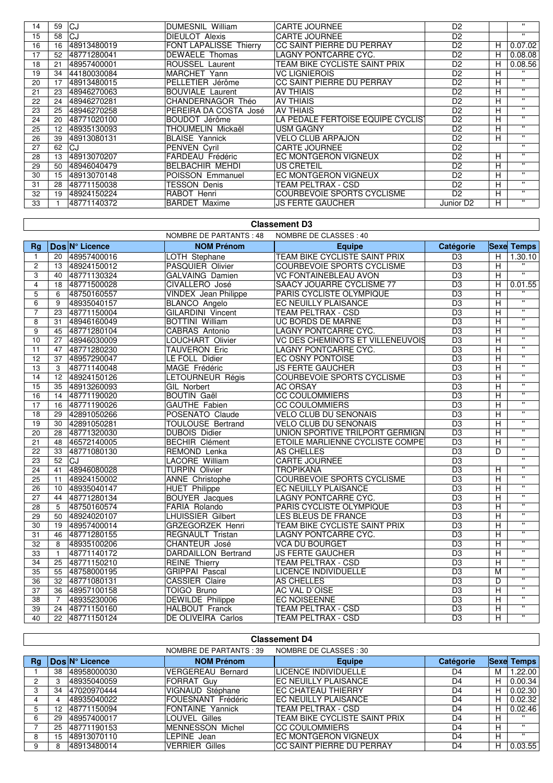| 14 | 59 | lCJ         | <b>DUMESNIL William</b>       | <b>CARTE JOURNEE</b>              | D <sub>2</sub>        |   | $\mathbf{H}$ |
|----|----|-------------|-------------------------------|-----------------------------------|-----------------------|---|--------------|
| 15 | 58 | CJ          | <b>DIEULOT Alexis</b>         | <b>CARTE JOURNEE</b>              | D <sub>2</sub>        |   | $\mathbf{H}$ |
| 16 | 16 | 48913480019 | <b>FONT LAPALISSE Thierry</b> | CC SAINT PIERRE DU PERRAY         | D <sub>2</sub>        | H | 0.07.02      |
| 17 | 52 | 48771280041 | <b>DEWAELE</b> Thomas         | LAGNY PONTCARRE CYC.              | D <sub>2</sub>        | н | 0.08.08      |
| 18 | 21 | 48957400001 | ROUSSEL Laurent               | TEAM BIKE CYCLISTE SAINT PRIX     | D <sub>2</sub>        | н | 0.08.56      |
| 19 | 34 | 44180030084 | MARCHET Yann                  | <b>VC LIGNIEROIS</b>              | D <sub>2</sub>        | н | $\mathbf{H}$ |
| 20 | 17 | 48913480015 | PELLETIER Jérôme              | CC SAINT PIERRE DU PERRAY         | D <sub>2</sub>        | н | $\mathbf{H}$ |
| 21 | 23 | 48946270063 | <b>BOUVIALE Laurent</b>       | <b>AV THIAIS</b>                  | D <sub>2</sub>        | н | $\mathbf{H}$ |
| 22 | 24 | 48946270281 | CHANDERNAGOR Théo             | <b>AV THIAIS</b>                  | D <sub>2</sub>        | H |              |
| 23 | 25 | 48946270258 | PEREIRA DA COSTA José         | <b>AV THIAIS</b>                  | D <sub>2</sub>        | н | $\mathbf{H}$ |
| 24 | 20 | 48771020100 | BOUDOT Jérôme                 | LA PÉDALE FERTOISE EQUIPE CYCLIST | D <sub>2</sub>        | н | $\mathbf{H}$ |
| 25 | 12 | 48935130093 | THOUMELIN Mickaël             | <b>USM GAGNY</b>                  | D <sub>2</sub>        | н | $\mathbf{H}$ |
| 26 | 39 | 48913080131 | <b>BLAISE Yannick</b>         | <b>VELO CLUB ARPAJON</b>          | D <sub>2</sub>        | н | $\mathbf{H}$ |
| 27 | 62 | CJ          | <b>PENVEN Cyril</b>           | <b>CARTE JOURNEE</b>              | D <sub>2</sub>        |   | $\mathbf{H}$ |
| 28 | 13 | 48913070207 | FARDEAU Frédéric              | <b>EC MONTGERON VIGNEUX</b>       | D <sub>2</sub>        | H | $\mathbf{H}$ |
| 29 | 50 | 48946040479 | <b>BELBACHIR MEHDI</b>        | <b>US CRETEIL</b>                 | D <sub>2</sub>        | н | $\mathbf{H}$ |
| 30 | 15 | 48913070148 | POISSON Emmanuel              | EC MONTGERON VIGNEUX              | D <sub>2</sub>        | н | $\mathbf{H}$ |
| 31 | 28 | 48771150038 | <b>TESSON Denis</b>           | TEAM PELTRAX - CSD                | D <sub>2</sub>        | н | $\mathbf{H}$ |
| 32 | 19 | 48924150224 | RABOT Henri                   | <b>COURBEVOIE SPORTS CYCLISME</b> | D <sub>2</sub>        | н | $\mathbf{H}$ |
| 33 |    | 48771140372 | <b>BARDET Maxime</b>          | <b>JS FERTE GAUCHER</b>           | Junior D <sub>2</sub> | н | $\mathbf{H}$ |
|    |    |             |                               |                                   |                       |   |              |

## **Classement D3**

|                         |                 |                | <b>NOMBRE DE PARTANTS: 48</b> | NOMBRE DE CLASSES : 40            |                 |                |                         |
|-------------------------|-----------------|----------------|-------------------------------|-----------------------------------|-----------------|----------------|-------------------------|
| <b>Rg</b>               |                 | Dos N° Licence | <b>NOM Prénom</b>             | <b>Equipe</b>                     | Catégorie       |                | <b>Sexe Temps</b>       |
| $\mathbf{1}$            | 20              | 48957400016    | LOTH Stephane                 | TEAM BIKE CYCLISTE SAINT PRIX     | D <sub>3</sub>  | H              | 1.30.10                 |
| $\overline{c}$          | 13              | 48924150012    | PASQUIER Olivier              | <b>COURBEVOIE SPORTS CYCLISME</b> | D <sub>3</sub>  | $\overline{H}$ | $\overline{u}$          |
| 3                       | 40              | 48771130324    | <b>GALVAING Damien</b>        | <b>VC FONTAINEBLEAU AVON</b>      | D <sub>3</sub>  | Ξ              | π                       |
| $\overline{\mathbf{4}}$ | 18              | 48771500028    | CIVALLERO José                | SAACY JOUARRE CYCLISME 77         | D <sub>3</sub>  | H              | 0.01.55                 |
| 5                       | 6               | 48750160557    | <b>VINDEX</b> Jean Philippe   | PARIS CYCLISTE OLYMPIQUE          | $\overline{D3}$ | Ξ              |                         |
| $\overline{6}$          | 9               | 48935040157    | <b>BLANCO Angelo</b>          | EC NEUILLY PLAISANCE              | D <sub>3</sub>  | $\overline{H}$ | $\overline{\mathbf{u}}$ |
| $\overline{7}$          | 23              | 48771150004    | <b>GILARDINI Vincent</b>      | TEAM PELTRAX - CSD                | $\overline{D3}$ | $\overline{H}$ | $\overline{w}$          |
| 8                       | 31              | 48946160049    | <b>BOTTINI William</b>        | <b>UC BORDS DE MARNE</b>          | D <sub>3</sub>  | $\overline{H}$ | $\overline{w}$          |
| 9                       | 45              | 48771280104    | CABRAS Antonio                | LAGNY PONTCARRE CYC.              | D <sub>3</sub>  | $\overline{H}$ | $\overline{w}$          |
| 10                      | 27              | 48946030009    | LOUCHART Olivier              | VC DES CHEMINOTS ET VILLENEUVOIS  | D <sub>3</sub>  | $\overline{H}$ | $\overline{\mathbf{u}}$ |
| 11                      |                 | 47 48771280230 | <b>TAUVERON Eric</b>          | LAGNY PONTCARRE CYC.              | D <sub>3</sub>  | $\overline{H}$ | $\overline{\mathbf{u}}$ |
| 12                      | 37              | 48957290047    | LE FOLL Didier                | <b>EC OSNY PONTOISE</b>           | D <sub>3</sub>  | $\overline{H}$ | $\overline{\mathbf{u}}$ |
| 13                      | $\overline{3}$  | 48771140048    | MAGE Frédéric                 | <b>JS FERTE GAUCHER</b>           | D <sub>3</sub>  | $\overline{H}$ | $\overline{\mathbf{u}}$ |
| 14                      | 12              | 48924150126    | LETOURNEUR Régis              | COURBEVOIE SPORTS CYCLISME        | D <sub>3</sub>  | H              | $\overline{\mathbf{u}}$ |
| 15                      | $\overline{35}$ | 48913260093    | GIL Norbert                   | <b>AC ORSAY</b>                   | D <sub>3</sub>  | $\overline{H}$ | $\overline{\mathbf{u}}$ |
| 16                      | 14              | 48771190020    | <b>BOUTIN Gaël</b>            | <b>CC COULOMMIERS</b>             | D3              | H              | $\overline{\mathbf{u}}$ |
| 17                      | 16              | 48771190026    | <b>GAUTHE Fabien</b>          | <b>CC COULOMMIERS</b>             | D <sub>3</sub>  | Н              | $\overline{\mathbf{u}}$ |
| 18                      | 29              | 42891050266    | POSENATO Claude               | <b>VELO CLUB DU SENONAIS</b>      | D3              | H              | π                       |
| 19                      | 30              | 42891050281    | TOULOUSE Bertrand             | <b>VELO CLUB DU SENONAIS</b>      | D <sub>3</sub>  | $\overline{H}$ | $\overline{\mathbf{u}}$ |
| 20                      | 28              | 48771320030    | <b>DUBOIS Didier</b>          | UNION SPORTIVE TRILPORT GERMIGN   | D <sub>3</sub>  | Ξ              | π                       |
| 21                      | 48              | 46572140005    | <b>BECHIR Clément</b>         | ETOILE MARLIENNE CYCLISTE COMPE   | D <sub>3</sub>  | H              | π                       |
| $\overline{22}$         | $\overline{33}$ | 48771080130    | REMOND Lenka                  | <b>AS CHELLES</b>                 | $\overline{D3}$ | $\overline{D}$ | π                       |
| 23                      | 52 CJ           |                | <b>LACORE William</b>         | <b>CARTE JOURNEE</b>              | D <sub>3</sub>  |                | $\overline{u}$          |
| 24                      | 41              | 48946080028    | <b>TURPIN Olivier</b>         | <b>TROPIKANA</b>                  | $\overline{D3}$ | $\overline{H}$ | π                       |
| 25                      | 11              | 48924150002    | <b>ANNE Christophe</b>        | <b>COURBEVOIE SPORTS CYCLISME</b> | $\overline{D3}$ | H              | $\overline{\mathbf{u}}$ |
| 26                      | 10              | 48935040147    | <b>HUET Philippe</b>          | <b>EC NEUILLY PLAISANCE</b>       | $\overline{D3}$ | $\overline{H}$ | π                       |
| 27                      | 44              | 48771280134    | BOUYER Jacques                | LAGNY PONTCARRE CYC.              | D <sub>3</sub>  | H              | $\overline{\mathbf{u}}$ |
| 28                      | 5               | 48750160574    | FARIA Rolando                 | PARIS CYCLISTE OLYMPIQUE          | $\overline{D3}$ | $\overline{H}$ | π                       |
| $\overline{29}$         | 50              | 48924020107    | <b>LHUISSIER Gilbert</b>      | <b>LES BLEUS DE FRANCE</b>        | D <sub>3</sub>  | H              | π                       |
| 30                      | 19              | 48957400014    | GRZEGORZEK Henri              | TEAM BIKE CYCLISTE SAINT PRIX     | D <sub>3</sub>  | H              | π                       |
| 31                      | 46              | 48771280155    | REGNAULT Tristan              | LAGNY PONTCARRE CYC.              | D <sub>3</sub>  | $\overline{H}$ | $\overline{\mathbf{u}}$ |
| 32                      | 8               | 48935100206    | CHANTEUR José                 | <b>VCA DU BOURGET</b>             | D <sub>3</sub>  | $\overline{H}$ | π                       |
| 33                      | $\overline{1}$  | 48771140172    | DARDAILLON Bertrand           | <b>JS FERTE GAUCHER</b>           | D <sub>3</sub>  | H              | Ŧ                       |
| 34                      | 25              | 48771150210    | <b>REINE</b> Thierry          | TEAM PELTRAX - CSD                | D <sub>3</sub>  | H              | $\mathbf{H}$            |
| 35                      | 55              | 48758000195    | <b>GRIPPAI Pascal</b>         | <b>LICENCE INDIVIDUELLE</b>       | D <sub>3</sub>  | M              | $\overline{\mathbf{u}}$ |
| 36                      | 32              | 48771080131    | <b>CASSIER Claire</b>         | <b>AS CHELLES</b>                 | $\overline{D3}$ | D              | π                       |
| 37                      | 36              | 48957100158    | TOIGO Bruno                   | AC VAL D'OISE                     | D <sub>3</sub>  | H              | $\mathbf{H}$            |
| 38                      | $\overline{7}$  | 48935230006    | <b>DEWILDE Philippe</b>       | <b>EC NOISEENNE</b>               | D <sub>3</sub>  | H              | π                       |
| 39                      | 24              | 48771150160    | HALBOUT Franck                | TEAM PELTRAX - CSD                | $\overline{D3}$ | H              | $\overline{u}$          |
| 40                      | 22              | 48771150124    | <b>DE OLIVEIRA Carlos</b>     | <b>TEAM PELTRAX - CSD</b>         | $\overline{D3}$ | Ξ              | $\overline{\mathbf{u}}$ |

## **Classement D4**

|    |    |                | NOMBRE DE PARTANTS : 39  | NOMBRE DE CLASSES : 30        |           |   |                   |
|----|----|----------------|--------------------------|-------------------------------|-----------|---|-------------------|
| Rg |    | Dos N° Licence | <b>NOM Prénom</b>        | <b>Equipe</b>                 | Catégorie |   | <b>Sexe Temps</b> |
|    | 38 | 48958000030    | <b>VERGEREAU Bernard</b> | LICENCE INDIVIDUELLE          | D4        | М | 1.22.00           |
| 2  |    | 48935040059    | <b>FORRAT Guv</b>        | EC NEUILLY PLAISANCE          | D4        | н | 0.00.34           |
| 3  | 34 | 47020970444    | VIGNAUD Stéphane         | <b>EC CHATEAU THIERRY</b>     | D4        | н | 0.02.30           |
| 4  |    | 48935040022    | FOUESNANT Frédéric       | IEC NEUILLY PLAISANCE         | D4        | н | 0.02.32           |
| 5  | 12 | 48771150094    | FONTAINE Yannick         | TEAM PELTRAX - CSD            | D4        | н | 0.02.46           |
| 6  | 29 | 48957400017    | <b>LOUVEL Gilles</b>     | TEAM BIKE CYCLISTE SAINT PRIX | D4        |   | $\mathbf{H}$      |
|    | 25 | 48771190153    | MENNESSON Michel         | ICC COULOMMIERS               | D4        | н | $\mathbf{H}$      |
| 8  | 15 | 48913070110    | LEPINE Jean              | <b>IEC MONTGERON VIGNEUX</b>  | D4        | н | $\mathbf{H}$      |
| 9  |    | 48913480014    | <b>VERRIER Gilles</b>    | ICC SAINT PIERRE DU PERRAY    | D4        |   | 0.03.55           |